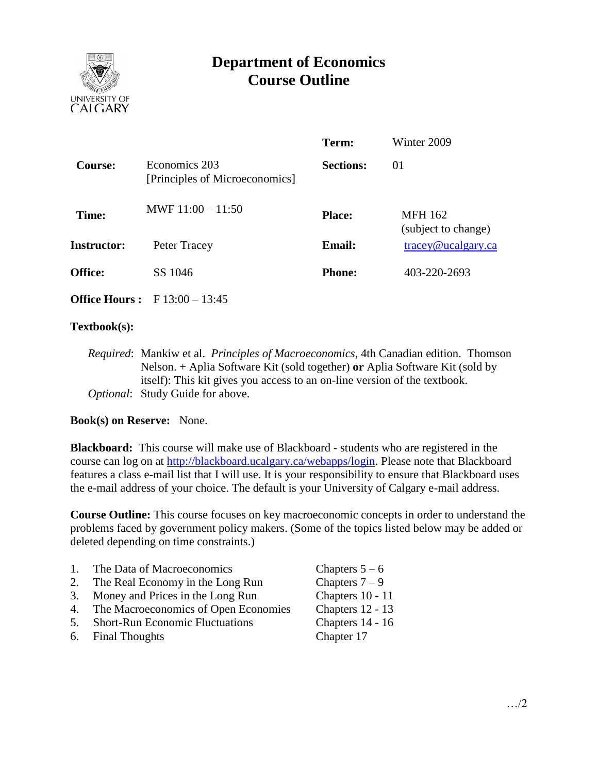

# **Department of Economics Course Outline**

|              | Term:                                                                  | Winter 2009                              |
|--------------|------------------------------------------------------------------------|------------------------------------------|
|              | <b>Sections:</b>                                                       | 01                                       |
|              | <b>Place:</b>                                                          | <b>MFH 162</b><br>(subject to change)    |
| Peter Tracey | <b>Email:</b>                                                          | $trace\$ <sub><i>Q</i></sub> ucalgary.ca |
| SS 1046      | <b>Phone:</b>                                                          | 403-220-2693                             |
|              | Economics 203<br>[Principles of Microeconomics]<br>MWF $11:00 - 11:50$ |                                          |

**Office Hours :** F 13:00 – 13:45

## **Textbook(s):**

*Required*: Mankiw et al. *Principles of Macroeconomics*, 4th Canadian edition. Thomson Nelson. + Aplia Software Kit (sold together) **or** Aplia Software Kit (sold by itself): This kit gives you access to an on-line version of the textbook. *Optional*: Study Guide for above.

## **Book(s) on Reserve:** None.

**Blackboard:** This course will make use of Blackboard - students who are registered in the course can log on at [http://blackboard.ucalgary.ca/webapps/login.](http://blackboard.ucalgary.ca/webapps/login) Please note that Blackboard features a class e-mail list that I will use. It is your responsibility to ensure that Blackboard uses the e-mail address of your choice. The default is your University of Calgary e-mail address.

**Course Outline:** This course focuses on key macroeconomic concepts in order to understand the problems faced by government policy makers. (Some of the topics listed below may be added or deleted depending on time constraints.)

| 1. | The Data of Macroeconomics             | Chapters $5-6$   |
|----|----------------------------------------|------------------|
| 2. | The Real Economy in the Long Run       | Chapters $7-9$   |
| 3. | Money and Prices in the Long Run       | Chapters 10 - 11 |
| 4. | The Macroeconomics of Open Economies   | Chapters 12 - 13 |
| 5. | <b>Short-Run Economic Fluctuations</b> | Chapters 14 - 16 |
|    |                                        |                  |

6. Final Thoughts Chapter 17

…/2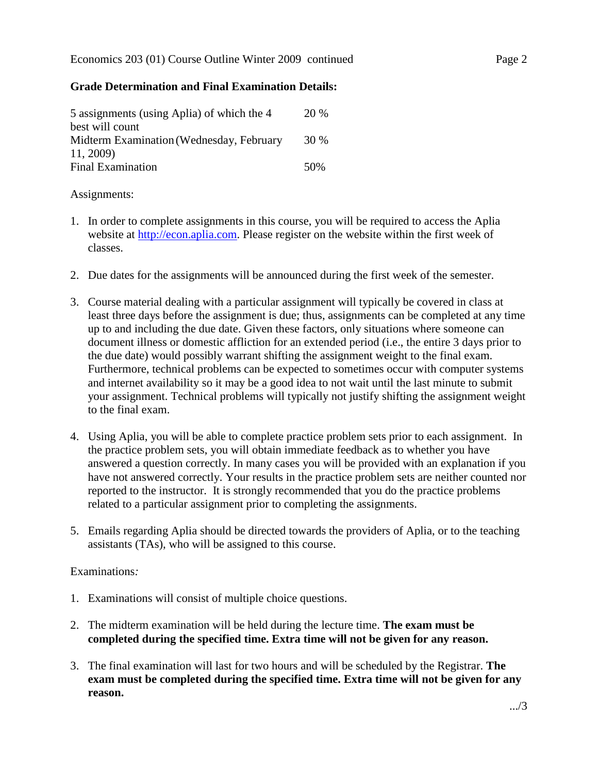## **Grade Determination and Final Examination Details:**

| 5 assignments (using Aplia) of which the 4 | 20 % |
|--------------------------------------------|------|
| best will count                            |      |
| Midterm Examination (Wednesday, February   | 30 % |
| 11, 2009)                                  |      |
| <b>Final Examination</b>                   | 50%  |

## Assignments:

- 1. In order to complete assignments in this course, you will be required to access the Aplia website at [http://econ.aplia.com.](http://econ.aplia.com/) Please register on the website within the first week of classes.
- 2. Due dates for the assignments will be announced during the first week of the semester.
- 3. Course material dealing with a particular assignment will typically be covered in class at least three days before the assignment is due; thus, assignments can be completed at any time up to and including the due date. Given these factors, only situations where someone can document illness or domestic affliction for an extended period (i.e., the entire 3 days prior to the due date) would possibly warrant shifting the assignment weight to the final exam. Furthermore, technical problems can be expected to sometimes occur with computer systems and internet availability so it may be a good idea to not wait until the last minute to submit your assignment. Technical problems will typically not justify shifting the assignment weight to the final exam.
- 4. Using Aplia, you will be able to complete practice problem sets prior to each assignment. In the practice problem sets, you will obtain immediate feedback as to whether you have answered a question correctly. In many cases you will be provided with an explanation if you have not answered correctly. Your results in the practice problem sets are neither counted nor reported to the instructor. It is strongly recommended that you do the practice problems related to a particular assignment prior to completing the assignments.
- 5. Emails regarding Aplia should be directed towards the providers of Aplia, or to the teaching assistants (TAs), who will be assigned to this course.

## Examinations*:*

- 1. Examinations will consist of multiple choice questions.
- 2. The midterm examination will be held during the lecture time. **The exam must be completed during the specified time. Extra time will not be given for any reason.**
- 3. The final examination will last for two hours and will be scheduled by the Registrar. **The exam must be completed during the specified time. Extra time will not be given for any reason.**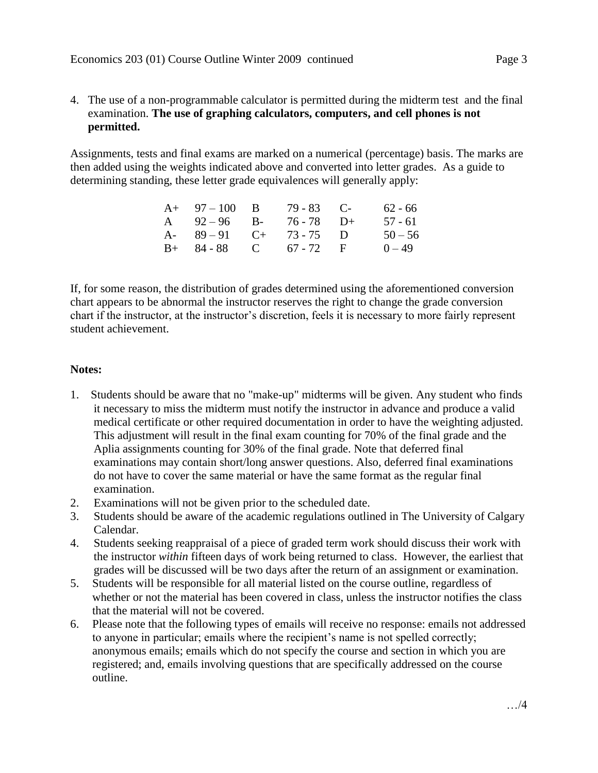4. The use of a non-programmable calculator is permitted during the midterm test and the final examination. **The use of graphing calculators, computers, and cell phones is not permitted.**

Assignments, tests and final exams are marked on a numerical (percentage) basis. The marks are then added using the weights indicated above and converted into letter grades. As a guide to determining standing, these letter grade equivalences will generally apply:

| $A+ 97-100 B$          | $79 - 83$ C- | $62 - 66$ |
|------------------------|--------------|-----------|
| A $92-96$ B-           | $76 - 78$ D+ | $57 - 61$ |
| A- $89-91$ C+ 73-75 D  |              | $50 - 56$ |
| $B+ 84-88$ C 67 - 72 F |              | $0 - 49$  |

If, for some reason, the distribution of grades determined using the aforementioned conversion chart appears to be abnormal the instructor reserves the right to change the grade conversion chart if the instructor, at the instructor's discretion, feels it is necessary to more fairly represent student achievement.

## **Notes:**

- 1. Students should be aware that no "make-up" midterms will be given. Any student who finds it necessary to miss the midterm must notify the instructor in advance and produce a valid medical certificate or other required documentation in order to have the weighting adjusted. This adjustment will result in the final exam counting for 70% of the final grade and the Aplia assignments counting for 30% of the final grade. Note that deferred final examinations may contain short/long answer questions. Also, deferred final examinations do not have to cover the same material or have the same format as the regular final examination.
- 2. Examinations will not be given prior to the scheduled date.
- 3. Students should be aware of the academic regulations outlined in The University of Calgary Calendar.
- 4. Students seeking reappraisal of a piece of graded term work should discuss their work with the instructor *within* fifteen days of work being returned to class. However, the earliest that grades will be discussed will be two days after the return of an assignment or examination.
- 5. Students will be responsible for all material listed on the course outline, regardless of whether or not the material has been covered in class, unless the instructor notifies the class that the material will not be covered.
- 6. Please note that the following types of emails will receive no response: emails not addressed to anyone in particular; emails where the recipient's name is not spelled correctly; anonymous emails; emails which do not specify the course and section in which you are registered; and, emails involving questions that are specifically addressed on the course outline.